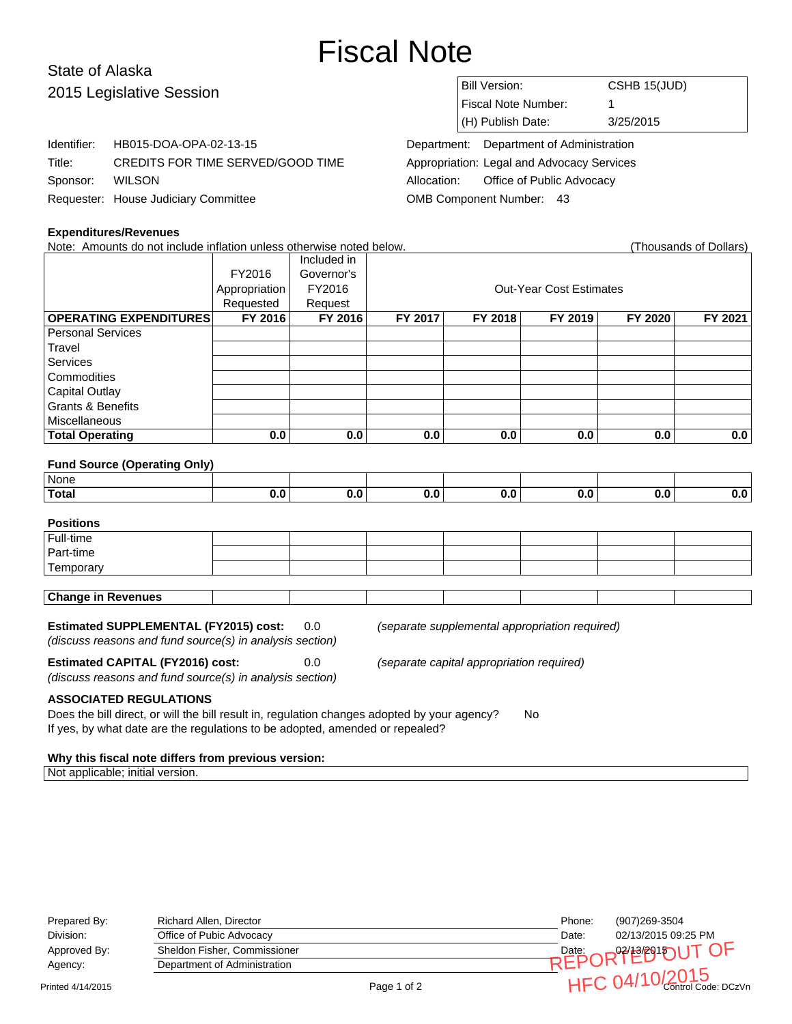# Fiscal Note

## State of Alaska 2015 Legis

| 2015 Legislative Session |                                      |             | Bill Version:                              | CSHB 15(JUD) |  |  |
|--------------------------|--------------------------------------|-------------|--------------------------------------------|--------------|--|--|
|                          |                                      |             | <b>Fiscal Note Number:</b>                 |              |  |  |
|                          |                                      |             | (H) Publish Date:                          | 3/25/2015    |  |  |
| Identifier:              | HB015-DOA-OPA-02-13-15               | Department: | Department of Administration               |              |  |  |
| Title:                   | CREDITS FOR TIME SERVED/GOOD TIME    |             | Appropriation: Legal and Advocacy Services |              |  |  |
| Sponsor:                 | <b>WILSON</b>                        | Allocation: | Office of Public Advocacy                  |              |  |  |
|                          | Requester: House Judiciary Committee |             | OMB Component Number: 43                   |              |  |  |

#### **Expenditures/Revenues**

Note: Amounts do not include inflation unless otherwise noted below. Thousands of Dollars (Thousands of Dollars)

| TVOIG. ANTIOUNIUS UU NUI MUNUUG MMANUH UMIGSS UNIGHWISG NUIGU DGIUW.<br>i i ivujalius vi Dullais, |               |             |                                |         |         |         |         |
|---------------------------------------------------------------------------------------------------|---------------|-------------|--------------------------------|---------|---------|---------|---------|
|                                                                                                   |               | Included in |                                |         |         |         |         |
|                                                                                                   | FY2016        | Governor's  |                                |         |         |         |         |
|                                                                                                   | Appropriation | FY2016      | <b>Out-Year Cost Estimates</b> |         |         |         |         |
|                                                                                                   | Requested     | Request     |                                |         |         |         |         |
| <b>OPERATING EXPENDITURES</b>                                                                     | FY 2016       | FY 2016     | FY 2017                        | FY 2018 | FY 2019 | FY 2020 | FY 2021 |
| l Personal Services                                                                               |               |             |                                |         |         |         |         |
| Travel                                                                                            |               |             |                                |         |         |         |         |
| Services                                                                                          |               |             |                                |         |         |         |         |
| Commodities                                                                                       |               |             |                                |         |         |         |         |
| <b>Capital Outlay</b>                                                                             |               |             |                                |         |         |         |         |
| <b>Grants &amp; Benefits</b>                                                                      |               |             |                                |         |         |         |         |
| Miscellaneous                                                                                     |               |             |                                |         |         |         |         |
| <b>Total Operating</b>                                                                            | 0.0           | 0.0         | 0.0                            | 0.0     | 0.0     | 0.0     | 0.0     |

#### **Fund Source (Operating Only)**

| ' None       |        |  |  |  |
|--------------|--------|--|--|--|
| <b>Total</b> | $\sim$ |  |  |  |

### **Positions** Full-time Part-time **Temporary Change in Revenues**

#### **Estimated SUPPLEMENTAL (FY2015) cost:** 0.0 (separate supplemental appropriation required)

(discuss reasons and fund source(s) in analysis section)

**Estimated CAPITAL (FY2016) cost:** 0.0 (separate capital appropriation required)

(discuss reasons and fund source(s) in analysis section)

#### **ASSOCIATED REGULATIONS**

Does the bill direct, or will the bill result in, regulation changes adopted by your agency? No If yes, by what date are the regulations to be adopted, amended or repealed?

#### **Why this fiscal note differs from previous version:**

Not applicable; initial version.

| Prepared By:      | Richard Allen, Director      |             | Phone: | (907)269-3504       |
|-------------------|------------------------------|-------------|--------|---------------------|
| Division:         | Office of Pubic Advocacy     |             | Date:  | 02/13/2015 09:25 PM |
| Approved By:      | Sheldon Fisher, Commissioner |             |        | Date: OR? POUT OF   |
| Agency:           | Department of Administration |             |        |                     |
| Printed 4/14/2015 |                              | Page 1 of 2 |        | HFC 04/10/2015      |